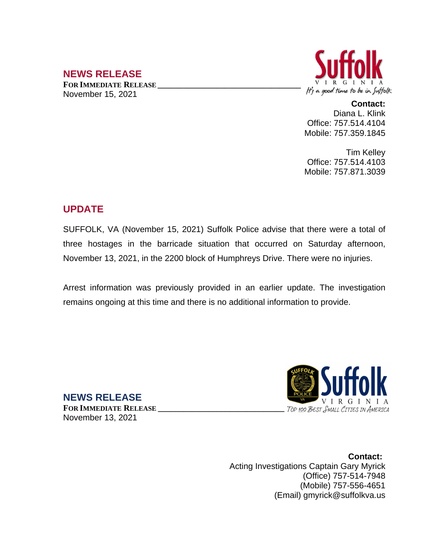# **NEWS RELEASE**

**FOR IMMEDIATE RELEASE \_\_\_\_\_\_\_\_\_\_\_\_\_\_\_\_\_\_\_\_\_\_\_\_\_\_\_\_\_\_\_\_\_\_** November 15, 2021



**Contact:** Diana L. Klink Office: 757.514.4104 Mobile: 757.359.1845

Tim Kelley Office: 757.514.4103 Mobile: 757.871.3039

## **UPDATE**

SUFFOLK, VA (November 15, 2021) Suffolk Police advise that there were a total of three hostages in the barricade situation that occurred on Saturday afternoon, November 13, 2021, in the 2200 block of Humphreys Drive. There were no injuries.

Arrest information was previously provided in an earlier update. The investigation remains ongoing at this time and there is no additional information to provide.



**NEWS RELEASE**

**FOR IMMEDIATE RELEASE \_\_\_\_\_\_\_\_\_\_\_\_\_\_\_\_\_\_\_\_\_\_\_\_\_\_\_\_\_\_** November 13, 2021

> **Contact:** Acting Investigations Captain Gary Myrick (Office) 757-514-7948 (Mobile) 757-556-4651 (Email) gmyrick@suffolkva.us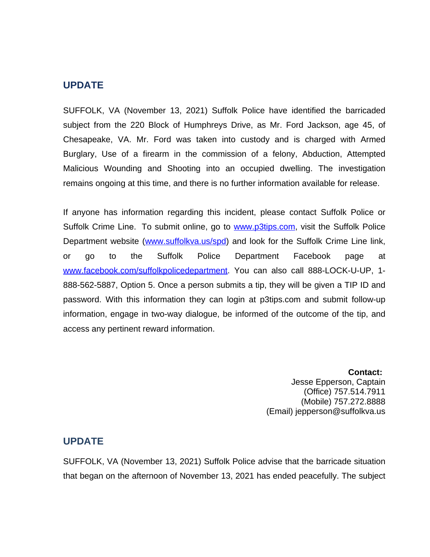#### **UPDATE**

SUFFOLK, VA (November 13, 2021) Suffolk Police have identified the barricaded subject from the 220 Block of Humphreys Drive, as Mr. Ford Jackson, age 45, of Chesapeake, VA. Mr. Ford was taken into custody and is charged with Armed Burglary, Use of a firearm in the commission of a felony, Abduction, Attempted Malicious Wounding and Shooting into an occupied dwelling. The investigation remains ongoing at this time, and there is no further information available for release.

If anyone has information regarding this incident, please contact Suffolk Police or Suffolk Crime Line. To submit online, go to [www.p3tips.com](http://www.p3tips.com), visit the Suffolk Police Department website ([www.suffolkva.us/spd](http://www.suffolkva.us/spd)) and look for the Suffolk Crime Line link, or go to the Suffolk Police Department Facebook page at [www.facebook.com/suffolkpolicedepartment](http://www.facebook.com/suffolkpolicedepartment). You can also call 888-LOCK-U-UP, 1-888-562-5887, Option 5. Once a person submits a tip, they will be given a TIP ID and password. With this information they can login at p3tips.com and submit follow-up information, engage in two-way dialogue, be informed of the outcome of the tip, and access any pertinent reward information.

> **Contact:** Jesse Epperson, Captain (Office) 757.514.7911 (Mobile) 757.272.8888 (Email) jepperson@suffolkva.us

#### **UPDATE**

SUFFOLK, VA (November 13, 2021) Suffolk Police advise that the barricade situation that began on the afternoon of November 13, 2021 has ended peacefully. The subject